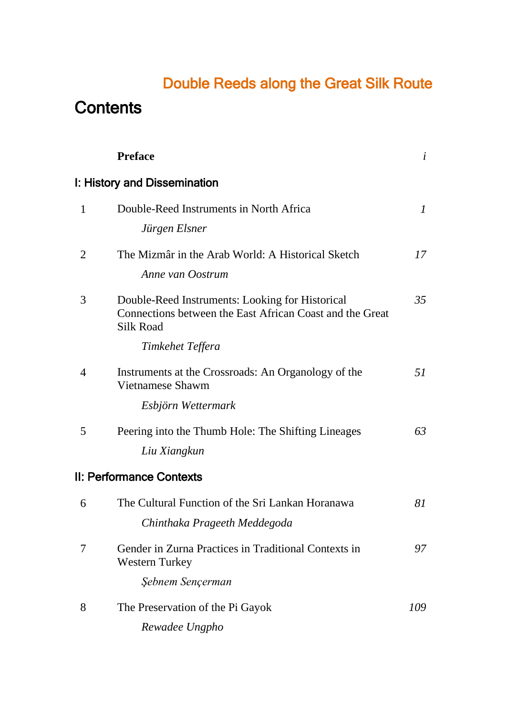## Double Reeds along the Great Silk Route

## **Contents**

|                | <b>Preface</b>                                                                                                                  | i             |
|----------------|---------------------------------------------------------------------------------------------------------------------------------|---------------|
|                | I: History and Dissemination                                                                                                    |               |
| $\mathbf{1}$   | Double-Reed Instruments in North Africa                                                                                         | $\mathcal{I}$ |
|                | Jürgen Elsner                                                                                                                   |               |
| 2              | The Mizmâr in the Arab World: A Historical Sketch                                                                               | 17            |
|                | Anne van Oostrum                                                                                                                |               |
| 3              | Double-Reed Instruments: Looking for Historical<br>Connections between the East African Coast and the Great<br><b>Silk Road</b> | 35            |
|                | Timkehet Teffera                                                                                                                |               |
| $\overline{4}$ | Instruments at the Crossroads: An Organology of the<br>Vietnamese Shawm                                                         | 51            |
|                | Esbjörn Wettermark                                                                                                              |               |
| 5              | Peering into the Thumb Hole: The Shifting Lineages                                                                              | 63            |
|                | Liu Xiangkun                                                                                                                    |               |
|                | II: Performance Contexts                                                                                                        |               |
| 6              | The Cultural Function of the Sri Lankan Horanawa                                                                                | 81            |
|                | Chinthaka Prageeth Meddegoda                                                                                                    |               |
| 7              | Gender in Zurna Practices in Traditional Contexts in<br><b>Western Turkey</b>                                                   | 97            |
|                | Şebnem Sençerman                                                                                                                |               |
| 8              | The Preservation of the Pi Gayok                                                                                                | 109           |
|                | Rewadee Ungpho                                                                                                                  |               |